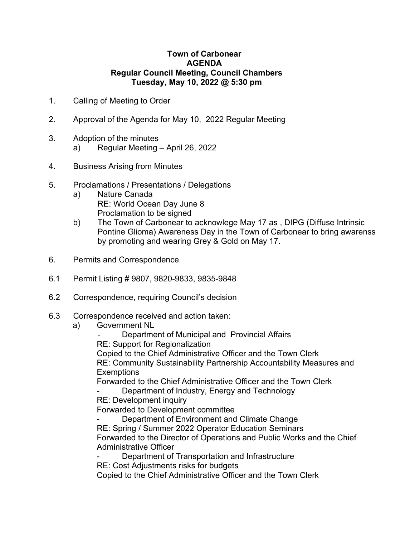## **Town of Carbonear AGENDA Regular Council Meeting, Council Chambers Tuesday, May 10, 2022 @ 5:30 pm**

- 1. Calling of Meeting to Order
- 2. Approval of the Agenda for May 10, 2022 Regular Meeting
- 3. Adoption of the minutes
	- a) Regular Meeting April 26, 2022
- 4. Business Arising from Minutes
- 5. Proclamations / Presentations / Delegations
	- a) Nature Canada RE: World Ocean Day June 8 Proclamation to be signed
	- b) The Town of Carbonear to acknowlege May 17 as , DIPG (Diffuse Intrinsic Pontine Glioma) Awareness Day in the Town of Carbonear to bring awarenss by promoting and wearing Grey & Gold on May 17.
- 6. Permits and Correspondence
- 6.1 Permit Listing # 9807, 9820-9833, 9835-9848
- 6.2 Correspondence, requiring Council's decision
- 6.3 Correspondence received and action taken:
	- a) Government NL
		- Department of Municipal and Provincial Affairs
		- RE: Support for Regionalization

Copied to the Chief Administrative Officer and the Town Clerk RE: Community Sustainability Partnership Accountability Measures and

**Exemptions** 

Forwarded to the Chief Administrative Officer and the Town Clerk

Department of Industry, Energy and Technology

RE: Development inquiry

Forwarded to Development committee

Department of Environment and Climate Change RE: Spring / Summer 2022 Operator Education Seminars Forwarded to the Director of Operations and Public Works and the Chief Administrative Officer

Department of Transportation and Infrastructure

RE: Cost Adjustments risks for budgets

Copied to the Chief Administrative Officer and the Town Clerk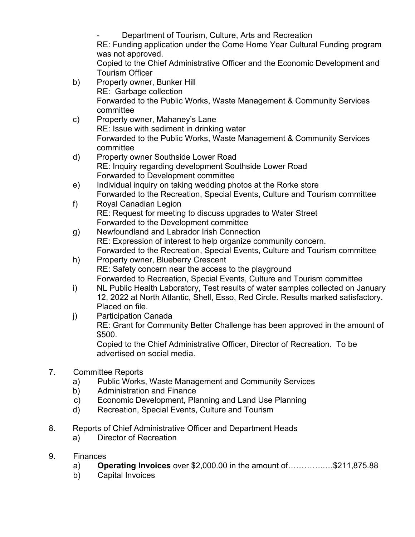Department of Tourism, Culture, Arts and Recreation RE: Funding application under the Come Home Year Cultural Funding program was not approved. Copied to the Chief Administrative Officer and the Economic Development and Tourism Officer

- b) Property owner, Bunker Hill RE: Garbage collection Forwarded to the Public Works, Waste Management & Community Services committee
- c) Property owner, Mahaney's Lane RE: Issue with sediment in drinking water Forwarded to the Public Works, Waste Management & Community Services committee
- d) Property owner Southside Lower Road RE: Inquiry regarding development Southside Lower Road Forwarded to Development committee
- e) Individual inquiry on taking wedding photos at the Rorke store Forwarded to the Recreation, Special Events, Culture and Tourism committee
- f) Royal Canadian Legion RE: Request for meeting to discuss upgrades to Water Street Forwarded to the Development committee
- g) Newfoundland and Labrador Irish Connection RE: Expression of interest to help organize community concern. Forwarded to the Recreation, Special Events, Culture and Tourism committee
- h) Property owner, Blueberry Crescent RE: Safety concern near the access to the playground Forwarded to Recreation, Special Events, Culture and Tourism committee
- i) NL Public Health Laboratory, Test results of water samples collected on January 12, 2022 at North Atlantic, Shell, Esso, Red Circle. Results marked satisfactory. Placed on file.
- j) Participation Canada RE: Grant for Community Better Challenge has been approved in the amount of \$500.

Copied to the Chief Administrative Officer, Director of Recreation. To be advertised on social media.

- 7. Committee Reports
	- a) Public Works, Waste Management and Community Services
	- b) Administration and Finance
	- c) Economic Development, Planning and Land Use Planning
	- d) Recreation, Special Events, Culture and Tourism
- 8. Reports of Chief Administrative Officer and Department Heads
	- a) Director of Recreation
- 9. Finances
	- a) **Operating Invoices** over \$2,000.00 in the amount of…………..…\$211,875.88
	- b) Capital Invoices